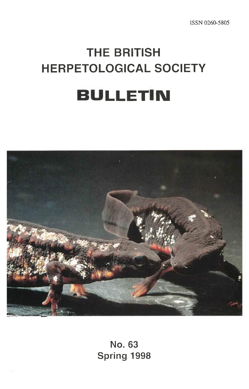# **THE BRITISH HERPETOLOGICAL SOCIETY BULLETIN**



**No. 63 Spring 1998**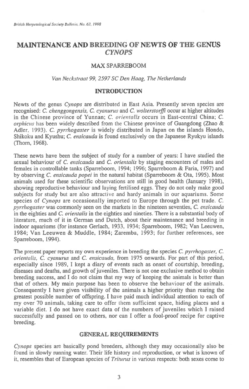# **MAINTENANCE AND BREEDING OF NEWTS OF THE GENUS**  *CYNOPS*

# MAX SPARREBOOM

#### *Van Neckstraat 99, 2597 SC Den Haag, The Netherlands*

#### **INTRODUCTION**

Newts of the genus *Cynops* are distributed in East Asia. Presently seven species are recognised: *C. chenggongensis, C. cyanurus* and *C. wolterstorifi* occur at higher altitudes in the Chinese province of Yunnan; *C. orientalis* occurs in East-central China; *C. orphicus* has been widely described from the Chinese province of Guangdong (Zhao & Adler, 1993). *C. pyrrhogaster* is widely distributed in Japan on the islands Hondo, Shikoku and Kyushu; *C. ensicauda* is found exclusively on the Japanese Ryukyu islands (Thorn, 1968).

These newts have been the subject of study for a number of years: I have studied the sexual behaviour of *C. ensicauda* and C. *orientalis* by staging encounters of males and females in controllable tanks (Sparreboom, 1994; 1996; Sparreboom & Faria, 1997) and by observing *C. ensicauda popei* in the natural habitat (Sparreboom & Ota, 1995). Most animals used for these scientific observations are still in good health (January 1998), showing reproductive behaviour and laying fertilised eggs. They do not only make good subjects for study but are also attractive and hardy animals in our aquariums. Some species of *Cynops* are occasionally imported to Europe through the pet trade. *C. pyrrhogaster* was commonly seen on the markets in the nineteen seventies, *C. ensicauda in* the eighties and *C. orientalis* in the eighties and nineties. There is a substantial body of literature, much of it in German and Dutch, about their maintenance and breeding in indoor aquariums (for instance Gerlach, 1933, 1934; Sparreboom, 1982; Van Leeuwen, 1984; Van Leeuwen & Muddle, 1984; Zaremba, 1993; for further references, see Sparreboom, 1994).

The present paper reports my own experience in breeding the species *C. pyrrhogaster, C. orientalis, C. cyanurus* and *C. ensicauda,* from 1975 onwards. For part of this period, especially since 1989, I kept a diary of events such as onset of courtship, breeding, diseases and deaths, and growth of juveniles. There is not one exclusive method to obtain breeding success, and I do not claim that my way of keeping the animals is better than that of others. My main purpose has been to observe the behaviour of the animals. Consequently I have given visibility of the animals a higher priority than rearing the greatest possible number of offspring. I have paid much individual attention to each of my over 70 animals, taking care to offer them sufficient space, hiding places and a variable diet. I do not have exact data of the numbers of juveniles which I raised successfully and passed on to others, nor can I offer a fool-proof recipe for captive breeding.

#### **GENERAL REQUIREMENTS**

*Cynops* species are basically pond breeders, although they may occasionally also be found in slowly running water. Their life history and reproduction, or what is known of it, resembles that of European species of *Triturus in* various respects: both sexes come to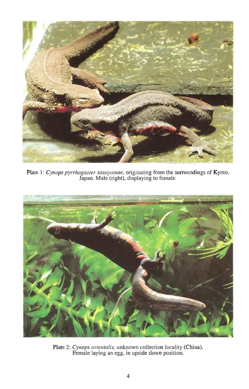

Plate 1: Cynops pyrrhogaster sasayamae, originating from the surroundings of Kyoto, Japan. Male (right), displaying to female.



Plate 2: *Cynops orientalis,* unknown collection locality (China). Female laying an egg, in upside down position.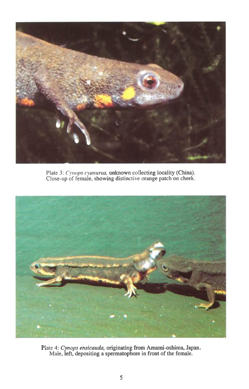

Plate 3: *Cynops cyanurus,* unknown collecting locality (China). Close-up of female, showing distinctive orange patch on cheek.



Plate 4: *Cynops ensicauda,* originating from Amami-oshima, Japan. Male, *left,* depositing a spermatophore in front of the female.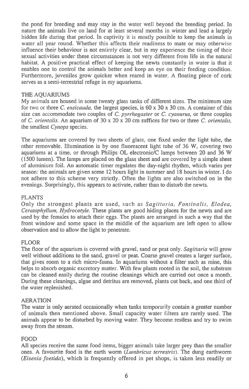the pond for breeding and may stay in the water well beyond the breeding period. In nature the animals live on land for at least several months in winter and lead a largely hidden life during that period. In captivity it is mostly possible to keep the animals in water all year round. Whether this affects their readiness to mate or may otherwise influence their behaviour is not entirely clear, but in my experience the timing of their sexual activities under these circumstances is not very different from life in the natural habitat. A positive practical effect of keeping the newts constantly in water is that it enables one to control the animals better and keep an eye on their feeding condition. Furthermore, juveniles grow quicker when reared in water. A floating piece of cork serves as a semi-terrestrial refuge in my aquariums.

# THE AQUARIUMS

My animals are housed in some twenty glass tanks of different sizes. The minimum size for two or three C. *ensicauda,* the largest species, is 60 x 30 x 30 cm. A container of this size can accommodate two couples of *C. pyrrhogaster* or *C. cyanurus,* or three couples of *C. orientalis.* An aquarium of 30 x 20 x 20 cm suffices for two or three *C. orientalis,*  the smallest *Cynops* species.

The aquariums are covered by two sheets of glass, one fixed under the light tube, the other removable. Illumination is by one fluorescent light tube of 36 W, covering two aquariums at a time, or through Philips OL electronic/C lamps between 20 and 36 W (1500 lumen). The lamps are placed on the glass sheet and are covered by a simple sheet of aluminium foil. An automatic timer regulates the day-night rhythm, which varies per season: the animals are given some 12 hours light in summer and 18 hours in winter. I do not adhere to this scheme very strictly. Often the lights are also switched on in the evenings. Surprisingly, this appears to activate, rather than to disturb the newts.

#### PLANTS

Only the strongest plants are used, such as *Sagittaria, Fontinalis, Elodea, Ceratophyllum, Hydrocotyle.* These plants are good hiding places for the newts and are used by the females to attach their eggs. The plants are arranged in such a way that the front window and some space in the middle of the aquarium are left open to allow observation and to allow the light to penetrate.

# FLOOR

The floor of the aquarium is covered with gravel, sand or peat only. *Sagittaria* will grow well without additions to the sand, gravel or peat. Coarse gravel creates a larger surface, that gives room to a rich micro-fauna. In aquariums without a filter such as mine, this helps to absorb organic excretory matter. With few plants rooted in the soil, the substrate can be cleaned easily during the routine cleanings which are carried out once a month. During these cleanings, algae and detritus are removed, plants cut back, and one third of the water replenished.

#### AERATION

The water is only aerated occasionally when tanks temporarily contain a greater number of animals then mentioned above. Small capacity water filters are rarely used. The animals appear to be disturbed by moving water. They become restless and try to swim away from the stream.

# FOOD

All species receive the same food items, bigger animals take larger prey than the smaller ones. A favourite food is the earth worm *(Lumbricus terrestris).* The dung earthworm *(Eisenia foetida),* which is frequently offered in pet shops, is taken less readily or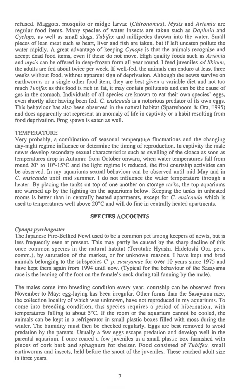refused. Maggots, mosquito or midge larvae *(Chironomus), Mysis* and *Anemia* are regular food items. Many species of water insects are taken such as *Daphnia* and *Cyclops,* as well *as* small slugs, *Tubifex* and millipedes thrown into the water. Small pieces of lean meat such as heart, liver and fish are taken, but if left uneaten pollute the water rapidly. A great advantage of keeping *Cynops is* that the animals recognise and accept dead food items, even if these do not move. High quality foods such as *Anemia*  and *mysis* can be offered in deep-frozen form all year round. I feed juveniles *ad libitum,*  the adults are fed about twice per week. If well-fed, the animals can endure at least three weeks without food, without apparent sign of deprivation. Although the newts survive on earthworms or a single other food item, they are best given a variable diet and not too much *Tubifex* as this food is rich in fat, it may contain pollutants and can be the cause of gas in the stomach. Individuals of all species are known to eat their own species' eggs, even shortly after having been fed. C. *ensicauda is* a notorious predator of its own eggs. This behaviour has also been observed in the natural habitat (Sparreboom & Ota, 1995) and does apparently not represent an anomaly of life in captivity or a habit resulting from food deprivation. Frog spawn is eaten as well.

## **TEMPERATURE**

Very probably, a combination of seasonal temperature fluctuations and the changing day-night regime influence or determine the timing of reproduction. In captivity the male newts develop secondary sexual characteristics such as swelling of the cloaca as soon as temperatures drop in Autumn: from October onward, when water temperatures fall from round 20° to 10°-15°C and the light regime is reduced, the first courtship activities can be observed. In my aquariums sexual behaviour can be observed until mid May and in *C. ensicauda* until mid summer. I do not influence the water temperature through a heater. By placing the tanks on top of one another on storage racks, the top aquariums are warmed up by the lighting on the aquariums below. Keeping the tanks in unheated rooms is better than in centrally heated apartments, except for *C. ensicauda* which is used to temperatures well above 20°C and will do fine in centrally heated apartments.

#### **SPECIES ACCOUNTS**

#### *Cynops pyrrhogaster*

The Japanese Fire-Bellied Newt used to be a common pet among keepers of newts, but is less frequently seen at present. This may partly be caused by the sharp decline of this once common species in the natural habitat (Terutake Hyashi, Hidetoshi Ota, pers. comm.), by saturation of the market, or for unknown reasons. I have kept and bred animals belonging to the subspecies *C. p. sasayamae* for over 10 years since 1975 and have kept them again from 1994 until now. (Typical for the behaviour of the Sasayama race is the leaning of the foot on the female's neck during tail fanning by the male).

The males come into breeding condition every year; courtship can be observed from November to May; egg-laying has been irregular. Other forms than the Sasayama race, the collection locality of which was unknown, have not reproduced in my aquariums. To come into breeding condition, this species requires a period of hibernation, with temperatures falling to about 5°C. If the room or the aquarium cannot be cooled, the animals can be kept in a refrigerator in small plastic boxes filled with moss during the winter. The humidity must then be checked regularly. Eggs are best removed to avoid predation by the parents. Usually a few eggs escape predation and develop well in the parental aquarium. I once reared a few juveniles in a small plastic box furnished with pieces of cork bark and sphagnum for shelter. Food consisted of *Tubifex,* small earthworms and insects, held before the snout of the juveniles. These reached adult size in three years.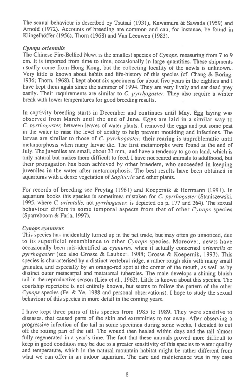**The sexual behaviour is described by Tsutsui (1931), Kawamura & Sawada (1959) and Arnold (1972). Accounts of breeding are common and can, for instance, be found in Klingelhoffer (1956), Thorn (1968) and Van Leeuwen (1983).** 

# *Cynops orientalis*

**The Chinese Fire-Bellied Newt is the smallest species of** *Cynops,* **measuring from 7 to 9 cm. It is imported from time to time, occasionally in large quantities. These shipments usually come from Hong Kong, but the collecting locality of the newts is unknown.. Very little is known about habits and life-history of this species (cf. Chang & Boring, 1936; Thorn, 1968). I kept about six specimens for about five years in the eighties and I have kept them again since the summer of 1994. They are very lively and eat dead prey easily. Their requirements are similar to** *C. pyrrhogaster.* **They also require a winter break with lower temperatures for good breeding results.** 

**In captivity breeding starts in December and continues until May. Egg laying was observed from March until the end of June. Eggs are laid in a similar way to**  *C. pyrrhogaster,* **between leaves of water plants. I removed the eggs and put some peat in the water to raise the level of acidity to help prevent moulding and infections. The larvae are similar to those of C.** *pyrrhogaster,* **their rearing is unproblematic until metamorphosis when many larvae die. The first metamorphs were found at the end of July. The juveniles are small, about 33 mm, and have a tendency to go on land, which is only natural but makes them difficult to feed. I have not reared animals to adulthood, but their propagation has been achieved by other breeders, who succeeded in keeping juveniles in the water after metamorphosis. The best results have been obtained in aquariums with a dense vegetation of** *Sagivaria* **and other plants.** 

**For records of breeding see Freytag (1961) and Koepernik & Herrmann (1991). In aquarium books this species is sometimes mistaken for** *C. pyrrhogaster* **(Staniszewski, 1995, where** *C. orientalis,* **not** *pyrrhogaster,* **is depicted on p. 177 and 264). The sexual behaviour differs in some temporal aspects from that of other** *Cynops* **species (Sparreboom & Faria, 1997).** 

# *Cynops cyanurus*

**This species has incidentally turned up in the pet trade, but may often go unnoticed, due to its superficial resemblance to other** *Cynops* **species. Moreover, newts have occasionally been mis-identified** *as cyanurus,* **when it actually concerned** *orientalis* **or**  *pyrrhogaster* **(see also Grosse & Laubner. 1988; Grosse & Koepernik, 1993). This species is characterised by a distinct vertebral ridge, a rather rough skin with many small granules, and especially by an orange-red spot at the corner of the mouth, as well as by distinct outer metacarpal and metatarsal tubercles. The male develops a shining bluish tail in the reproductive season (Lieu et al., 1962). Little is known about this species. The courtship repertoire is not entirely known, but seems to follow the pattern of the other**  *Cynops* **species (Fei & Ye, 1988 and personal observations). I hope to study the sexual behaviour of this species in more detail in the coming years.** 

**I have kept three pairs of this species from 1985 to 1989. They were sensitive to diseases, that caused parts of the skin and extremities to rot away. After observing a progressive infection of the tail in some specimen during some weeks, I decided to cut off the rotting part of the tail. The wound then healed within days and the tail almost fully regenerated in a year's time. The fact that these animals proved more difficult to keep in good condition may be due to a greater sensitivity of this species to water quality and temperature, which in the natural mountain habitat might be rather different from what we can offer** in an **indoor aquarium. The care and maintenance was in my case**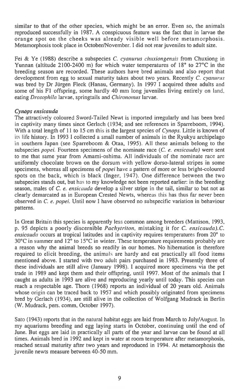similar to that of the other species, which might be an error. Even so, the animals reproduced successfully in 1987. A conspicuous feature was the fact that in larvae the orange spot on the cheeks was already visible well before metamorphosis. Metamorphosis took place in October/November. I did not rear juveniles to adult size.

Fei & Ye (1988) describe a subspecies *C. cyanurus chuxiongensi* from Chuxiong in Yunnan (altitude 2100-2400 m) for which water temperatures of 18° to 27°C in the breeding season are recorded. These authors have bred animals and also report that development from egg to sexual maturity takes about two years. Recently *C. cyanurus*  was bred by Dr Jürgen Fleck (Hanau, Germany). In 1997 I acquired three adults and some of his Fl offspring, some hardly 40 mm long juveniles living entirely on land, eating *Drosophila* larvae, springtails and *Chironomus* larvae.

### *Cynops ensicauda*

The attractively coloured Sword-Tailed Newt is imported irregularly and has been bred in captivity many times since Gerlach (1934; and see references in Sparreboom, 1994). With a total length of 11 to 15 cm this is the largest species of *Cynops.* Little is known of its life history. In 1993 I collected a small number of animals in the Ryukyu archipelago *in* southern Japan (see Sparreboom & Otaa, 1995). All these animals belong to the subspecies *popei.* Fourteen specimens of the nominate race *(C. e. ensicauda)* were sent to me that same year from Amami-oshima. All individuals of the nominate race are uniformly chocolate brown on the dorsum with yellow dorso-lateral stripes in some specimens, whereas all specimens of *popei* have a pattern of more or less bright-coloured spots on the back, which is black (Inger, 1947). One difference between the two subspecies stands out, but has to my knowledge not been reported earlier: in the breeding season, males of *C. e. ensicauda* develop a silver stripe in the tail, similar to but not as clearly demarcated as in European Crested Newts, whereas this has thus far never been observed in C. *e. popei.* Until now I have observed no subspecific variation in behaviour patterns.

In Great Britain this species is apparently less common among breeders (Mattison, 1993, p. 95 depicts a poorly discernible *Pachytriton,* mistaking it for *C. ensicauda).C. ensicauda* occurs at tropical latitudes and in captivity requires temperatures from 20° to 30°C in summer and 12° to 15°C in winter. These temperature requirements probably are a reason why the animal breeds so readily in our homes. No hibernation is therefore required to elicit breeding, the animals are hardy and eat practically all food items mentioned above. I started with two adult pairs purchased in 1983. Presently three of these individuals are still alive (January 1998). I acquired more specimens via the pet trade in 1989 and kept them and their offspring, until 1997. Most of the animals that I caught as adults in 1993 are alive and reproducing yearly until today. This species can reach a respectable age. Thorn (1968) reports an individual of 20 years old. Animals whose origin can be traced back to 1957 and which possibly originated from specimens bred by Gerlach (1934), are still alive in the collection of Wolfgang Mudrack in Berlin (W. Mudrack, pers. comm, October 1997).

Sato (1943) reports that in the natural habitat eggs are laid from March to July/August. In my aquariums breeding and egg laying starts in October, continuing until the end of June. But eggs are laid in practically all parts of the year and larvae can be found at all times. Animals bred in 1992 and kept in water at room temperature after metamorphosis, reached sexual maturity after two years and reproduced in 1994. At metamorphosis the juvenile newts measure between 40-50 mm.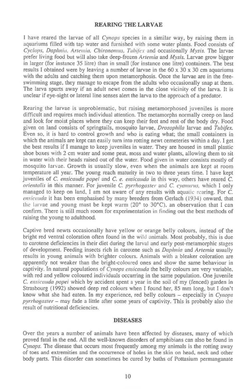# **REARING THE LARVAE**

I have reared the larvae of all *Cynops* species in a similar way, by raising them in aquariums filled with tap water and furnished with some water plants. Food consists of *Cyclops, Daphnia, Anemia, Chironomus, Tubifex* and occasionally *Mysis.* The larvae prefer living food but will also take deep-frozen *Artemia* and *Mysis*. Larvae grow bigger in larger (for instance 35 litre) than in small (for instance one litre) containers. The best results I obtained were by leaving a number of larvae in the  $60 \times 30 \times 30$  cm aquariums with the adults and catching them upon metamorphosis. Once the larvae are in the freeswimming stage, they manage to escape from the adults who occasionally snap at them. The larva spurts away if an adult newt comes in the close vicinity of the larva. It is unclear if eye-sight or lateral line senses alert the larva to the approach of a predator.

Rearing the larvae is unproblematic, but raising metamorphosed juveniles is more difficult and requires much individual attention. The metamorphs normally creep on land and look for moist places where they can keep their feet and rest of the body dry. Food given on land consists of springtails, mosquito larvae, *Drosophila* larvae and *Tubifex.*  Even so, it is hard to control growth and who is eating what; the small containers in which the animals are kept can easily turn into rotting newt cemeteries within a day. I get the best results if I manage to keep juveniles in water. They are housed in small plastic shoe boxes with 2 cm water and some peat, moss and water plants, allowing them to sit in water with their heads raised out of the water. Food given in water consists mostly of mosquito larvae. Growth is usually slow, even when the animals are kept at room temperature all year. The young reach maturity in two to three years time. I have kept juveniles of *C. ensicauda popei* and C. *e. ensicauda* in this way, others have reared C. *orientalis* in this manner. For juvenile *C. pyrrhogaster* and *C. cyanurus,* which I only managed to keep on land, I am not aware of any results with aquatic rearing. For C. *ensicauda* it has been emphasised by many breeders from Gerlach (1934) onward, that the larvae and young must be kept warm (20° to 30°C), an observation that I can confirm. There is still much room for experimentation in finding out the best methods of raising the young to adulthood.

Captive bred newts occasionally have yellow or orange belly colours, instead of the bright red ventral coloration often found in the wild animals. Most probably, this is due to carotene deficiencies in their diet during the larval and early post-metamorphic stages of development. Feeding insects rich in carotene such as *Daphnia* and *Anemia* usually results in young animals with brighter colours. Animals with a bleaker coloration are apparently not weaker than the bright-coloured ones and show the same behaviour in captivity. In natural populations of *Cynops ensicauda* the belly colours are very variable, with red and yellow coloured individuals occurring in the same population. One juvenile *C. ensicauda popei* which by accident spent a year in the soil of my (fenced) garden in Strasbourg (1992) showed deep red colours when I found her, 85 mm long, but I don't know what she had eaten. In my experience, red belly colours — especially in *Cynops pyrrhogaster — may fade a* little after some years of captivity. This is probably also the result of nutritional deficiencies.

#### **DISEASES**

Over the years a number of animals have been affected by diseases, many of which proved fatal in the end. All the well-known disorders of amphibians can also be found in *Cynops.* The disease that occurs most frequently among my animals is the rotting away of toes and extremities and the occurrence of holes in the skin on head, neck and other body parts. This disorder can sometimes be cured by baths of Pottasium permanganate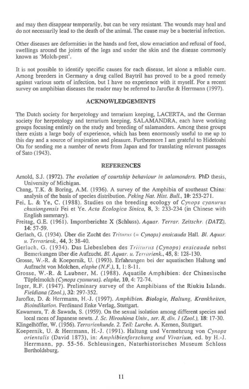and may then disappear temporarily, but can be very resistant. The wounds may heal and do not necessarily lead to the death of the animal. The cause may be a bacterial infection.

Other diseases are deformities in the hands and feet, slow emaciation and refusal of food, swellings around the joints of the legs and under the skin and the disease commonly known as `Molch-pest'.

It is not possible to identify specific causes for each disease, let alone a reliable cure. Among breeders in Germany a drug called Baytril has proved to be a good remedy against various sorts of infection, but I have no experience with it myself. For a recent survey on amphibian diseases the reader may be referred to Jarofke & Herrmann (1997).

# ACKNOWLEDGEMENTS

The Dutch society for herpetology and terrarium keeping, LACERTA, and the German society for herpetology and terrarium keeping, SALAMANDRA, each have working groups focusing entirely on the study and breeding of salamanders. Among these groups there exists a large body of experience, which has been enormously useful to me up to this day and a source of inspiration and pleasure. Furthermore I am grateful to Hidetoshi Ota for sending me a number of newts from Japan and for translating relevant passages of Sato (1943).

#### **REFERENCES**

- Arnold, S.J. (1972). *The evolution of courtship behaviour in salamanders.* PhD thesis, University of Michigan.
- Chang, T.K. & Boring, A.M. (1936). A survey of the Amphibia of southeast China: analysis of the basis of species distribution. *Peking Nat. Hist. Bull., 10:* 253-271.
- Fei, L. & Ye, C. (1988). Studies on the breeding ecology of *Cynops cyanurus chuxiongensis* Fei et Ye. *Acta Ecologica Sinica,* **8,** 3: 233-234 (in Chinese with English summary).
- Freitag, G.E. (1961). Importberichte X (Schluss). *Aquar. Terrar. Zeitschr. (DATZ),*  **14:** 57-59.
- Gerlach, G. (1934). Uber die Zucht des *Truants. (= Cynops) ensicauda* Hall. *B!. Aquar. it. Terrarienk.,* **44,** 3: 38-40.
- Gerlach, G. (1934). Das Liebesleben des *Triiraras (Cynops) ensicauda* nebst Bemerkungen iiber die Aufzucht. *Bl. Aquar. u. Terrarienk.,* **45,** 8: 128-130.
- Grosse, W.-R. & Koepemik, U. (1993). Erfahrungen bei der aquatischen Haltung und Aufzucht von Molchen, *elaphe (N.F.),1,* 1: 8-11.
- Grosse, W.-R. & Laubner, M. (1988). Aquatile Amphibien: der Chinesische Tijpfelmolch *(Cynops cyanurus). elaphe,* **10,** 4: 72-74.
- Inger, R.F. (1947). Preliminary survey of the Amphibians of the Riukiu Islands. *Fieldiana (Zoo!.), 32:* 297-352.
- Jarofke, D. & Herrmann, H.-J. (1997). *Amphibien. Biologie, Haltung, Krankheiten, Bioindikation.* Ferdinand Enke Verlag, Stuttgart.
- Kawamura, T. & Sawada, S. (1959). On the sexual isolation among different species and local races of Japanese newts. *J. Sc. Hiroshima Univ., ser. B, div. I (Zoo!.),* **18:** 17-30.

Klingelhoffer, W. (1956). *Terrarienkunde. 2. Teil: Lurche.* A. Kemen, Stuttgart.

Koepernik, U. & Herrmann, H.-J. (1991). Haltung und Vermehrung von *Cynops orientalis* (David 1873), *in: Amphibienforschung und Vivarium,* ed. by H.-J. Herrmann, pp. 55-56. Schleusingen, Naturhistorisches Museum Schloss Bertholdsburg.